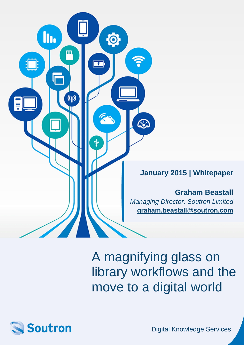

A magnifying glass on library workflows and the move to a digital world



Digital Knowledge Services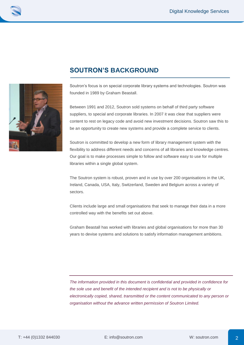



## **SOUTRON'S BACKGROUND**

Soutron's focus is on special corporate library systems and technologies. Soutron was founded in 1989 by Graham Beastall.

Between 1991 and 2012, Soutron sold systems on behalf of third party software suppliers, to special and corporate libraries. In 2007 it was clear that suppliers were content to rest on legacy code and avoid new investment decisions. Soutron saw this to be an opportunity to create new systems and provide a complete service to clients.

Soutron is committed to develop a new form of library management system with the flexibility to address different needs and concerns of all libraries and knowledge centres. Our goal is to make processes simple to follow and software easy to use for multiple libraries within a single global system.

The Soutron system is robust, proven and in use by over 200 organisations in the UK, Ireland, Canada, USA, Italy, Switzerland, Sweden and Belgium across a variety of sectors.

Clients include large and small organisations that seek to manage their data in a more controlled way with the benefits set out above.

Graham Beastall has worked with libraries and global organisations for more than 30 years to devise systems and solutions to satisfy information management ambitions.

*The information provided in this document is confidential and provided in confidence for the sole use and benefit of the intended recipient and is not to be physically or electronically copied, shared, transmitted or the content communicated to any person or organisation without the advance written permission of Soutron Limited.*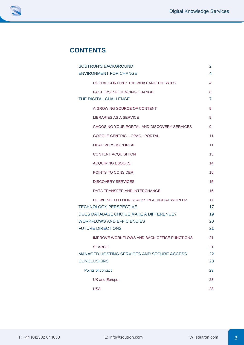# **CONTENTS**

| <b>SOUTRON'S BACKGROUND</b>                                                                                                                                                              | 2                          |
|------------------------------------------------------------------------------------------------------------------------------------------------------------------------------------------|----------------------------|
| <b>ENVIRONMENT FOR CHANGE</b>                                                                                                                                                            | 4                          |
| DIGITAL CONTENT: THE WHAT AND THE WHY?                                                                                                                                                   | 4                          |
| <b>FACTORS INFLUENCING CHANGE</b><br>THE DIGITAL CHALLENGE                                                                                                                               | 6<br>7                     |
| A GROWING SOURCE OF CONTENT                                                                                                                                                              | 9                          |
| <b>LIBRARIES AS A SERVICE</b>                                                                                                                                                            | 9                          |
| CHOOSING YOUR PORTAL AND DISCOVERY SERVICES                                                                                                                                              | 9                          |
| GOOGLE-CENTRIC - OPAC - PORTAL                                                                                                                                                           | 11                         |
| <b>OPAC VERSUS PORTAL</b>                                                                                                                                                                | 11                         |
| <b>CONTENT ACQUISITION</b>                                                                                                                                                               | 13                         |
| <b>ACQUIRING EBOOKS</b>                                                                                                                                                                  | 14                         |
| POINTS TO CONSIDER                                                                                                                                                                       | 15                         |
| <b>DISCOVERY SERVICES</b>                                                                                                                                                                | 15                         |
| DATA TRANSFER AND INTERCHANGE                                                                                                                                                            | 16                         |
| DO WE NEED FLOOR STACKS IN A DIGITAL WORLD?<br><b>TECHNOLOGY PERSPECTIVE</b><br>DOES DATABASE CHOICE MAKE A DIFFERENCE?<br><b>WORKFLOWS AND EFFICIENCIES</b><br><b>FUTURE DIRECTIONS</b> | 17<br>17<br>19<br>20<br>21 |
| <b>IMPROVE WORKFLOWS AND BACK OFFICE FUNCTIONS</b>                                                                                                                                       | 21                         |
| <b>SEARCH</b><br><b>MANAGED HOSTING SERVICES AND SECURE ACCESS</b><br><b>CONCLUSIONS</b>                                                                                                 | 21<br>22<br>23             |
| Points of contact                                                                                                                                                                        | 23                         |
| <b>UK and Europe</b>                                                                                                                                                                     | 23                         |
| <b>USA</b>                                                                                                                                                                               | 23                         |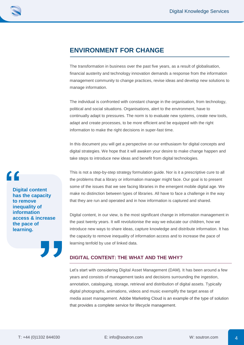## **ENVIRONMENT FOR CHANGE**

The transformation in business over the past five years, as a result of globalisation, financial austerity and technology innovation demands a response from the information management community to change practices, revise ideas and develop new solutions to manage information.

The individual is confronted with constant change in the organisation, from technology, political and social situations. Organisations, alert to the environment, have to continually adapt to pressures. The norm is to evaluate new systems, create new tools, adapt and create processes, to be more efficient and be equipped with the right information to make the right decisions in super-fast time.

In this document you will get a perspective on our enthusiasm for digital concepts and digital strategies. We hope that it will awaken your desire to make change happen and take steps to introduce new ideas and benefit from digital technologies.

This is not a step-by-step strategy formulation guide. Nor is it a prescriptive cure to all the problems that a library or information manager might face. Our goal is to present some of the issues that we see facing libraries in the emergent mobile digital age. We make no distinction between types of libraries. All have to face a challenge in the way that they are run and operated and in how information is captured and shared.

Digital content, in our view, is the most significant change in information management in the past twenty years. It will revolutionise the way we educate our children, how we introduce new ways to share ideas, capture knowledge and distribute information. It has the capacity to remove inequality of information access and to increase the pace of learning tenfold by use of linked data.

### **DIGITAL CONTENT: THE WHAT AND THE WHY?**

Let's start with considering Digital Asset Management (DAM). It has been around a few years and consists of management tasks and decisions surrounding the ingestion, annotation, cataloguing, storage, retrieval and distribution of digital assets. Typically digital photographs, animations, videos and music exemplify the target areas of media asset management. Adobe Marketing Cloud is an example of the type of solution that provides a complete service for lifecycle management.

**Digital content has the capacity to remove inequality of information access & increase the pace of learning.**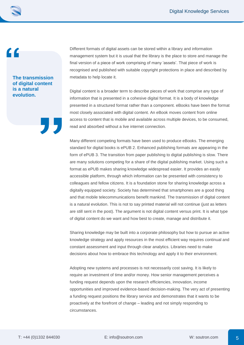**The transmission of digital content is a natural evolution.**

Different formats of digital assets can be stored within a library and information management system but it is usual that the library is the place to store and manage the final version of a piece of work comprising of many 'assets'. That piece of work is recognised and published with suitable copyright protections in place and described by metadata to help locate it.

Digital content is a broader term to describe pieces of work that comprise any type of information that is presented in a cohesive digital format. It is a body of knowledge presented in a structured format rather than a component. eBooks have been the format most closely associated with digital content. An eBook moves content from online access to content that is mobile and available across multiple devices, to be consumed, read and absorbed without a live internet connection.

Many different competing formats have been used to produce eBooks. The emerging standard for digital books is ePUB 2. Enhanced publishing formats are appearing in the form of ePUB 3. The transition from paper publishing to digital publishing is slow. There are many solutions competing for a share of the digital publishing market. Using such a format as ePUB makes sharing knowledge widespread easier. It provides an easily accessible platform, through which information can be presented with consistency to colleagues and fellow citizens. It is a foundation stone for sharing knowledge across a digitally equipped society. Society has determined that smartphones are a good thing and that mobile telecommunications benefit mankind. The transmission of digital content is a natural evolution. This is not to say printed material will not continue (just as letters are still sent in the post). The argument is not digital content versus print. It is what type of digital content do we want and how best to create, manage and distribute it.

Sharing knowledge may be built into a corporate philosophy but how to pursue an active knowledge strategy and apply resources in the most efficient way requires continual and constant assessment and input through clear analytics. Libraries need to make decisions about how to embrace this technology and apply it to their environment.

Adopting new systems and processes is not necessarily cost saving. It is likely to require an investment of time and/or money. How senior management perceives a funding request depends upon the research efficiencies, innovation, income opportunities and improved evidence-based decision-making. The very act of presenting a funding request positions the library service and demonstrates that it wants to be proactively at the forefront of change – leading and not simply responding to circumstances.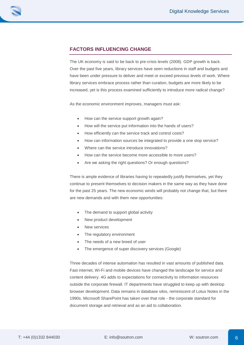

### **FACTORS INFLUENCING CHANGE**

The UK economy is said to be back to pre-crisis levels (2008). GDP growth is back. Over the past five years, library services have seen reductions in staff and budgets and have been under pressure to deliver and meet or exceed previous levels of work. Where library services embrace process rather than curation, budgets are more likely to be increased, yet is this process examined sufficiently to introduce more radical change?

As the economic environment improves, managers must ask:

- How can the service support growth again?
- How will the service put information into the hands of users?
- How efficiently can the service track and control costs?
- How can information sources be integrated to provide a one stop service?
- Where can the service introduce innovations?
- How can the service become more accessible to more users?
- Are we asking the right questions? Or enough questions?

There is ample evidence of libraries having to repeatedly justify themselves, yet they continue to present themselves to decision makers in the same way as they have done for the past 25 years. The new economic winds will probably not change that, but there are new demands and with them new opportunities:

- The demand to support global activity
- New product development
- New services
- The regulatory environment
- The needs of a new breed of user
- The emergence of super discovery services (Google)

Three decades of intense automation has resulted in vast amounts of published data. Fast internet, Wi-Fi and mobile devices have changed the landscape for service and content delivery. 4G adds to expectations for connectivity to information resources outside the corporate firewall. IT departments have struggled to keep up with desktop browser development. Data remains in database silos, reminiscent of Lotus Notes in the 1990s. Microsoft SharePoint has taken over that role - the corporate standard for document storage and retrieval and as an aid to collaboration.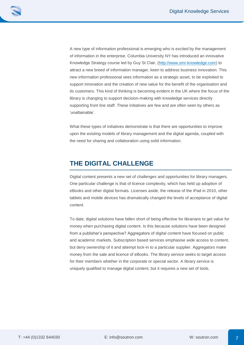A new type of information professional is emerging who is excited by the management of information in the enterprise. Columbia University NY has introduced an innovative Knowledge Strategy course led by Guy St Clair, [\(http://www.smr-knowledge.com\)](http://smr-knowledge.com/) to attract a new breed of information manager, keen to address business innovation. This new information professional sees information as a strategic asset, to be exploited to support innovation and the creation of new value for the benefit of the organisation and its customers. This kind of thinking is becoming evident in the UK where the focus of the library is changing to support decision-making with knowledge services directly supporting front line staff. These initiatives are few and are often seen by others as 'unattainable'.

What these types of initiatives demonstrate is that there are opportunities to improve upon the existing models of library management and the digital agenda, coupled with the need for sharing and collaboration using solid information.

## **THE DIGITAL CHALLENGE**

Digital content presents a new set of challenges and opportunities for library managers. One particular challenge is that of licence complexity, which has held up adoption of eBooks and other digital formats. Licenses aside, the release of the iPad in 2010, other tablets and mobile devices has dramatically changed the levels of acceptance of digital content.

To date, digital solutions have fallen short of being effective for librarians to get value for money when purchasing digital content. Is this because solutions have been designed from a publisher's perspective? Aggregators of digital content have focused on public and academic markets. Subscription based services emphasise wide access to content, but deny ownership of it and attempt lock-in to a particular supplier. Aggregators make money from the sale and licence of eBooks. The library service seeks to target access for their members whether in the corporate or special sector. A library service is uniquely qualified to manage digital content, but it requires a new set of tools.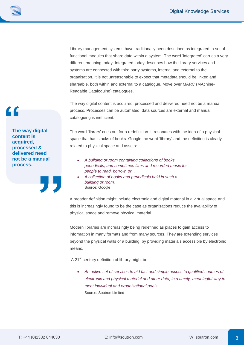Library management systems have traditionally been described as integrated: a set of functional modules that share data within a system. The word 'integrated' carries a very different meaning today. Integrated today describes how the library services and systems are connected with third party systems, internal and external to the organisation. It is not unreasonable to expect that metadata should be linked and shareable, both within and external to a catalogue. Move over MARC (MAchine-Readable Cataloguing) catalogues.

The way digital content is acquired, processed and delivered need not be a manual process. Processes can be automated, data sources are external and manual cataloguing is inefficient.

The word 'library' cries out for a redefinition. It resonates with the idea of a physical space that has stacks of books. Google the word 'library' and the definition is clearly related to physical space and assets:

- *A building or room containing collections of books, periodicals, and sometimes films and recorded music for people to read, borrow, or...*
- *A collection of books and periodicals held in such a building or room.* Source: Google

A broader definition might include electronic and digital material in a virtual space and this is increasingly found to be the case as organisations reduce the availability of physical space and remove physical material.

Modern libraries are increasingly being redefined as places to gain access to information in many formats and from many sources. They are extending services beyond the physical walls of a building, by providing materials accessible by electronic means.

A 21<sup>st</sup> century definition of library might be:

 *An active set of services to aid fast and simple access to qualified sources of electronic and physical material and other data, in a timely, meaningful way to meet individual and organisational goals.* Source: Soutron Limited

**The way digital content is acquired, processed & delivered need not be a manual process.**

 $\epsilon$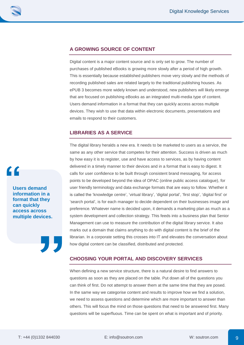

### **A GROWING SOURCE OF CONTENT**

Digital content is a major content source and is only set to grow. The number of purchases of published eBooks is growing more slowly after a period of high growth. This is essentially because established publishers move very slowly and the methods of recording published sales are related largely to the traditional publishing houses. As ePUB 3 becomes more widely known and understood, new publishers will likely emerge that are focused on publishing eBooks as an integrated multi-media type of content. Users demand information in a format that they can quickly access across multiple devices. They wish to use that data within electronic documents, presentations and emails to respond to their customers.

### **LIBRARIES AS A SERVICE**

The digital library heralds a new era. It needs to be marketed to users as a service, the same as any other service that competes for their attention. Success is driven as much by how easy it is to register, use and have access to services, as by having content delivered in a timely manner to their devices and in a format that is easy to digest. It calls for user confidence to be built through consistent brand messaging, for access points to be developed beyond the idea of OPAC (online public access catalogue), for user friendly terminology and data exchange formats that are easy to follow. Whether it is called the 'knowledge centre', 'virtual library', 'digital portal', 'first stop', 'digital first' or 'search portal', is for each manager to decide dependent on their businesses image and preference. Whatever name is decided upon, it demands a marketing plan as much as a system development and collection strategy. This feeds into a business plan that Senior Management can use to measure the contribution of the digital library service. It also marks out a domain that claims anything to do with digital content is the brief of the librarian. In a corporate setting this crosses into IT and elevates the conversation about how digital content can be classified, distributed and protected.

### **CHOOSING YOUR PORTAL AND DISCOVERY SERVICES**

When defining a new service structure, there is a natural desire to find answers to questions as soon as they are placed on the table. Put down all of the questions you can think of first. Do not attempt to answer them at the same time that they are posed. In the same way we categorise content and results to improve how we find a solution, we need to assess questions and determine which are more important to answer than others. This will focus the mind on those questions that need to be answered first. Many questions will be superfluous. Time can be spent on what is important and of priority.

**Users demand information in a format that they can quickly access across multiple devices.**

 $\mathbf{C}$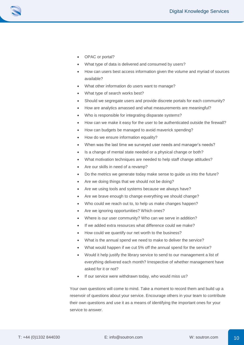

- OPAC or portal?
- What type of data is delivered and consumed by users?
- How can users best access information given the volume and myriad of sources available?
- What other information do users want to manage?
- What type of search works best?
- Should we segregate users and provide discrete portals for each community?
- How are analytics amassed and what measurements are meaningful?
- Who is responsible for integrating disparate systems?
- How can we make it easy for the user to be authenticated outside the firewall?
- How can budgets be managed to avoid maverick spending?
- How do we ensure information equality?
- When was the last time we surveyed user needs and manager's needs?
- Is a change of mental state needed or a physical change or both?
- What motivation techniques are needed to help staff change attitudes?
- Are our skills in need of a revamp?
- Do the metrics we generate today make sense to guide us into the future?
- Are we doing things that we should not be doing?
- Are we using tools and systems because we always have?
- Are we brave enough to change everything we should change?
- Who could we reach out to, to help us make changes happen?
- Are we ignoring opportunities? Which ones?
- Where is our user community? Who can we serve in addition?
- If we added extra resources what difference could we make?
- How could we quantify our net worth to the business?
- What is the annual spend we need to make to deliver the service?
- What would happen if we cut 5% off the annual spend for the service?
- Would it help justify the library service to send to our management a list of everything delivered each month? Irrespective of whether management have asked for it or not?
- If our service were withdrawn today, who would miss us?

Your own questions will come to mind. Take a moment to record them and build up a reservoir of questions about your service. Encourage others in your team to contribute their own questions and use it as a means of identifying the important ones for your service to answer.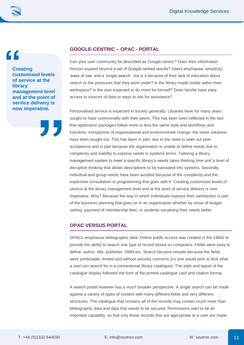$\epsilon$ 

**Creating customised levels of service at the library management level and at the point of service delivery is now imperative.**



#### **GOOGLE-CENTRIC – OPAC - PORTAL**

Can your user community be described as Google-centric? Does their information horizon expand beyond a set of Google ranked results? Users emphasise 'simplicity', 'ease of use' and a 'single search', but is it because of their lack of education about search or the pressures that they work under? Is the library made visible within their workspace? Is the user expected to do more for himself? Does he/she have easy access to sources of data or ways to ask for assistance?

Personalised service is expected in society generally. Libraries have for many years sought to have commonality with their peers. This has been seen reflected in the fact that application packages follow more or less the same style and workflows and functions. Irrespective of organisational and environmental change, the same solutions have been sought out. This has been in part, due to the need to seek out peer acceptance and in part because the organisation is unable to define needs due to complexity and inability to express needs in systems terms. Tailoring a library management system to meet a specific library's needs takes thinking time and a level of disruptive thinking that allows descriptions to be translated into systems. Secondly, individual and group needs have been avoided because of the complexity and the expensive consultation or programming that goes with it. Creating customised levels of service at the library management level and at the point of service delivery is now imperative. Why? Because the way in which individuals express their satisfaction is part of the business planning that goes on in an organisation whether by virtue of budget setting, payment of membership fees, or students vocalising their needs better.

#### **OPAC VERSUS PORTAL**

OPACs emphasise bibliographic data. Online public access was created in the 1960s to provide the ability to search one type of record stored on computers. Fields were easy to define; author, title, publisher, ISBN etc. Search became simpler because the fields were predictable, limited and without security concerns (no one would wish to limit what a user can search for in a conventional library catalogue). The style and layout of the catalogue display followed the form of the printed catalogue card and citation format.

A search portal however has a much broader perspective. A single search can be made against a variety of types of content with many different fields and very different structures. The catalogue that contains all of the records may contain much more than bibliographic data and data that needs to be secured. Permissions start to be an important capability, so that only those records that are appropriate to a user are made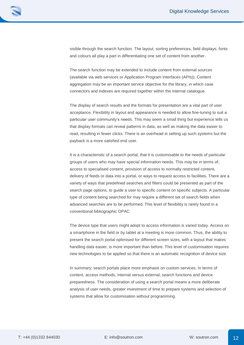

visible through the search function. The layout, sorting preferences, field displays, fonts and colours all play a part in differentiating one set of content from another.

The search function may be extended to include content from external sources (available via web services or Application Program Interfaces (APIs)). Content aggregation may be an important service objective for the library, in which case connectors and indexes are required together within the internal catalogue.

The display of search results and the formats for presentation are a vital part of user acceptance. Flexibility in layout and appearance is needed to allow fine-tuning to suit a particular user community's needs. This may seem a small thing but experience tells us that display formats can reveal patterns in data, as well as making the data easier to read, resulting in fewer clicks. There is an overhead in setting up such systems but the payback is a more satisfied end user.

It is a characteristic of a search portal, that it is customisable to the needs of particular groups of users who may have special information needs. This may be in terms of; access to specialised content, provision of access to normally restricted content, delivery of feeds or data into a portal, or ways to request access to facilities. There are a variety of ways that predefined searches and filters could be presented as part of the search page options, to guide a user to specific content on specific subjects. A particular type of content being searched for may require a different set of search fields when advanced searches are to be performed. This level of flexibility is rarely found in a conventional bibliographic OPAC.

The device type that users might adopt to access information is varied today. Access on a smartphone in the field or by tablet at a meeting is more common. Thus, the ability to present the search portal optimised for different screen sizes, with a layout that makes handling data easier, is more important than before. This level of customisation requires new technologies to be applied so that there is an automatic recognition of device size.

In summary; search portals place more emphasis on custom services. In terms of content, access methods, internal versus external, search functions and device preparedness. The consideration of using a search portal means a more deliberate analysis of user needs, greater investment of time to prepare systems and selection of systems that allow for customisation without programming.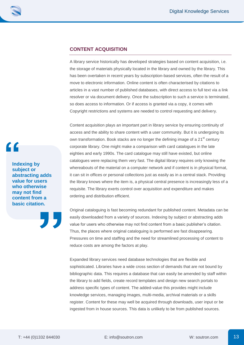

### **CONTENT ACQUISITION**

A library service historically has developed strategies based on content acquisition, i.e. the storage of materials physically located in the library and owned by the library. This has been overtaken in recent years by subscription-based services, often the result of a move to electronic information. Online content is often characterised by citations to articles in a vast number of published databases, with direct access to full text via a link resolver or via document delivery. Once the subscription to such a service is terminated, so does access to information. Or if access is granted via a copy, it comes with Copyright restrictions and systems are needed to control requesting and delivery.

Content acquisition plays an important part in library service by ensuring continuity of access and the ability to share content with a user community. But it is undergoing its own transformation. Book stacks are no longer the defining image of a 21<sup>st</sup> century corporate library. One might make a comparison with card catalogues in the late eighties and early 1990s. The card catalogue may still have existed, but online catalogues were replacing them very fast. The digital library requires only knowing the whereabouts of the material on a computer network and if content is in physical format, it can sit in offices or personal collections just as easily as in a central stack. Providing the library knows where the item is, a physical central presence is increasingly less of a requisite. The library exerts control over acquisition and expenditure and makes ordering and distribution efficient.

Original cataloguing is fast becoming redundant for published content. Metadata can be easily downloaded from a variety of sources. Indexing by subject or abstracting adds value for users who otherwise may not find content from a basic publisher's citation. Thus, the places where original cataloguing is performed are fast disappearing. Pressures on time and staffing and the need for streamlined processing of content to reduce costs are among the factors at play.

Expanded library services need database technologies that are flexible and sophisticated. Libraries have a wide cross section of demands that are not bound by bibliographic data. This requires a database that can easily be amended by staff within the library to add fields, create record templates and design new search portals to address specific types of content. The added-value this provides might include knowledge services, managing images, multi-media, archival materials or a skills register. Content for these may well be acquired through downloads, user input or be ingested from in house sources. This data is unlikely to be from published sources.

**Indexing by subject or abstracting adds value for users who otherwise may not find content from a basic citation.**

C C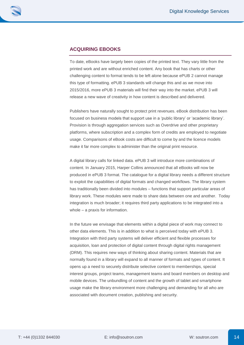### **ACQUIRING EBOOKS**

To date, eBooks have largely been copies of the printed text. They vary little from the printed work and are without enriched content. Any book that has charts or other challenging content to format tends to be left alone because ePUB 2 cannot manage this type of formatting. ePUB 3 standards will change this and as we move into 2015/2016, more ePUB 3 materials will find their way into the market. ePUB 3 will release a new wave of creativity in how content is described and delivered.

Publishers have naturally sought to protect print revenues. eBook distribution has been focused on business models that support use in a 'public library' or 'academic library'. Provision is through aggregation services such as Overdrive and other proprietary platforms, where subscription and a complex form of credits are employed to negotiate usage. Comparisons of eBook costs are difficult to come by and the licence models make it far more complex to administer than the original print resource.

A digital library calls for linked data. ePUB 3 will introduce more combinations of content. In January 2015, Harper Collins announced that all eBooks will now be produced in ePUB 3 format. The catalogue for a digital library needs a different structure to exploit the capabilities of digital formats and changed workflows. The library system has traditionally been divided into modules – functions that support particular areas of library work. These modules were made to share data between one and another. Today integration is much broader; it requires third party applications to be integrated into a whole – a praxis for information.

In the future we envisage that elements within a digital piece of work may connect to other data elements. This is in addition to what is perceived today with ePUB 3. Integration with third party systems will deliver efficient and flexible processes for acquisition, loan and protection of digital content through digital rights management (DRM). This requires new ways of thinking about sharing content. Materials that are normally found in a library will expand to all manner of formats and types of content. It opens up a need to securely distribute selective content to memberships, special interest groups, project teams, management teams and board members on desktop and mobile devices. The unbundling of content and the growth of tablet and smartphone usage make the library environment more challenging and demanding for all who are associated with document creation, publishing and security.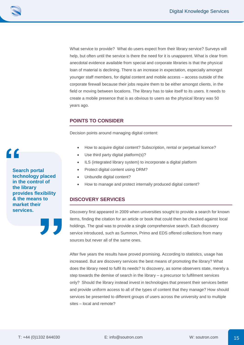What service to provide? What do users expect from their library service? Surveys will help, but often until the service is there the need for it is unapparent. What is clear from anecdotal evidence available from special and corporate libraries is that the physical loan of material is declining. There is an increase in expectation, especially amongst younger staff members, for digital content and mobile access – access outside of the corporate firewall because their jobs require them to be either amongst clients, in the field or moving between locations. The library has to take itself to its users. It needs to create a mobile presence that is as obvious to users as the physical library was 50 years ago.

### **POINTS TO CONSIDER**

Decision points around managing digital content:

- How to acquire digital content? Subscription, rental or perpetual licence?
- Use third party digital platform(s)?
- ILS (integrated library system) to incorporate a digital platform
- Protect digital content using DRM?
- Unbundle digital content?
- How to manage and protect internally produced digital content?

### **DISCOVERY SERVICES**

Discovery first appeared in 2009 when universities sought to provide a search for known items, finding the citation for an article or book that could then be checked against local holdings. The goal was to provide a single comprehensive search. Each discovery service introduced, such as Summon, Primo and EDS offered collections from many sources but never all of the same ones.

After five years the results have proved promising. According to statistics, usage has increased. But are discovery services the best means of promoting the library? What does the library need to fulfil its needs? Is discovery, as some observers state, merely a step towards the demise of search in the library – a precursor to fulfilment services only? Should the library instead invest in technologies that present their services better and provide uniform access to all of the types of content that they manage? How should services be presented to different groups of users across the university and to multiple sites – local and remote?

**Search portal technology placed in the control of the library provides flexibility & the means to market their services.**

 $\mathbf{C}$ 

15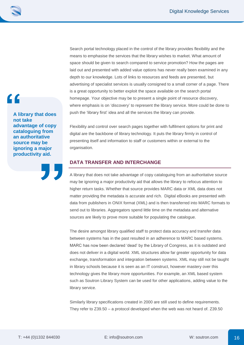$\blacksquare$ 

**A library that does not take advantage of copy cataloguing from an authoritative source may be ignoring a major productivity aid.**

Search portal technology placed in the control of the library provides flexibility and the means to emphasise the services that the library wishes to market. What amount of space should be given to search compared to service promotion? How the pages are laid out and presented with added value options has never really been examined in any depth to our knowledge. Lots of links to resources and feeds are presented, but advertising of specialist services is usually consigned to a small corner of a page. There is a great opportunity to better exploit the space available on the search portal homepage. Your objective may be to present a single point of resource discovery, where emphasis is on 'discovery' to represent the library service. More could be done to push the 'library first' idea and all the services the library can provide.

Flexibility and control over search pages together with fulfilment options for print and digital are the backbone of library technology. It puts the library firmly in control of presenting itself and information to staff or customers within or external to the organisation.

#### **DATA TRANSFER AND INTERCHANGE**

A library that does not take advantage of copy cataloguing from an authoritative source may be ignoring a major productivity aid that allows the library to refocus attention to higher return tasks. Whether that source provides MARC data or XML data does not matter providing the metadata is accurate and rich. Digital eBooks are presented with data from publishers in ONIX format (XML) and is then transferred into MARC formats to send out to libraries. Aggregators spend little time on the metadata and alternative sources are likely to prove more suitable for populating the catalogue.

The desire amongst library qualified staff to protect data accuracy and transfer data between systems has in the past resulted in an adherence to MARC based systems. MARC has now been declared 'dead' by the Library of Congress, as it is outdated and does not deliver in a digital world. XML structures allow far greater opportunity for data exchange, transformation and integration between systems. XML may still not be taught in library schools because it is seen as an IT construct, however mastery over this technology gives the library more opportunities. For example, an XML based system such as Soutron Library System can be used for other applications, adding value to the library service.

Similarly library specifications created in 2000 are still used to define requirements. They refer to Z39.50 – a protocol developed when the web was not heard of. Z39.50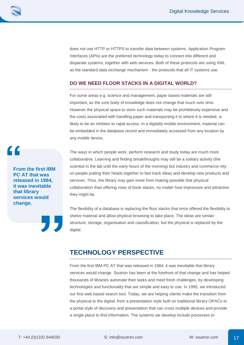does not use HTTP or HTTPS to transfer data between systems. Application Program Interfaces (APIs) are the preferred technology today to connect into different and disparate systems, together with web services. Both of these protocols are using XML as the standard data exchange mechanism - the protocols that all IT systems use.

#### **DO WE NEED FLOOR STACKS IN A DIGITAL WORLD?**

For some areas e.g. science and management, paper based materials are still important, as the core body of knowledge does not change that much over time. However the physical space to store such materials may be prohibitively expensive and the costs associated with handling paper and transporting it to where it is needed, is likely to be an inhibitor to rapid access. In a digitally mobile environment, material can be embedded in the database record and immediately accessed from any location by any mobile device.

The ways in which people work, perform research and study today are much more collaborative. Learning and finding breakthroughs may still be a solitary activity (the scientist in the lab until the early hours of the morning) but industry and commerce rely on people putting their heads together to fast track ideas and develop new products and services. Thus, the library may gain more from making possible that physical collaboration than offering rows of book stacks, no matter how impressive and attractive they might be.

The flexibility of a database is replacing the floor stacks that once offered the flexibility to shelve material and allow physical browsing to take place. The ideas are similar: structure, storage, organisation and classification, but the physical is replaced by the digital.

## **TECHNOLOGY PERSPECTIVE**

From the first IBM PC AT that was released in 1984, it was inevitable that library services would change. Soutron has been at the forefront of that change and has helped thousands of libraries automate their tasks and meet fresh challenges, by developing technologies and functionality that are simple and easy to use. In 1995, we introduced our first web based search tool. Today, we are helping clients make the transition from the physical to the digital; from a presentation style built on traditional library OPACs to a portal style of discovery and presentation that can cross multiple devices and provide a single place to find information. The systems we develop include processes to

**From the first IBM PC AT that was released in 1984, it was inevitable that library services would change.**

 $\overline{C}$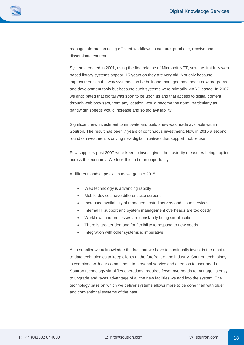manage information using efficient workflows to capture, purchase, receive and disseminate content.

Systems created in 2001, using the first release of Microsoft.NET, saw the first fully web based library systems appear. 15 years on they are very old. Not only because improvements in the way systems can be built and managed has meant new programs and development tools but because such systems were primarily MARC based. In 2007 we anticipated that digital was soon to be upon us and that access to digital content through web browsers, from any location, would become the norm, particularly as bandwidth speeds would increase and so too availability.

Significant new investment to innovate and build anew was made available within Soutron. The result has been 7 years of continuous investment. Now in 2015 a second round of investment is driving new digital initiatives that support mobile use.

Few suppliers post 2007 were keen to invest given the austerity measures being applied across the economy. We took this to be an opportunity.

A different landscape exists as we go into 2015:

- Web technology is advancing rapidly
- Mobile devices have different size screens
- Increased availability of managed hosted servers and cloud services
- Internal IT support and system management overheads are too costly
- Workflows and processes are constantly being simplification
- There is greater demand for flexibility to respond to new needs
- Integration with other systems is imperative

As a supplier we acknowledge the fact that we have to continually invest in the most upto-date technologies to keep clients at the forefront of the industry. Soutron technology is combined with our commitment to personal service and attention to user needs. Soutron technology simplifies operations; requires fewer overheads to manage; is easy to upgrade and takes advantage of all the new facilities we add into the system. The technology base on which we deliver systems allows more to be done than with older and conventional systems of the past.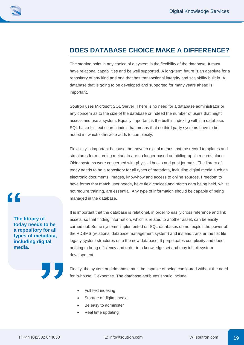## **DOES DATABASE CHOICE MAKE A DIFFERENCE?**

The starting point in any choice of a system is the flexibility of the database. It must have relational capabilities and be well supported. A long-term future is an absolute for a repository of any kind and one that has transactional integrity and scalability built in. A database that is going to be developed and supported for many years ahead is important.

Soutron uses Microsoft SQL Server. There is no need for a database administrator or any concern as to the size of the database or indeed the number of users that might access and use a system. Equally important is the built in indexing within a database. SQL has a full text search index that means that no third party systems have to be added in, which otherwise adds to complexity.

Flexibility is important because the move to digital means that the record templates and structures for recording metadata are no longer based on bibliographic records alone. Older systems were concerned with physical books and print journals. The library of today needs to be a repository for all types of metadata, including digital media such as electronic documents, images, know-how and access to online sources. Freedom to have forms that match user needs, have field choices and match data being held, whilst not require training, are essential. Any type of information should be capable of being managed in the database.

It is important that the database is relational, in order to easily cross reference and link assets, so that finding information, which is related to another asset, can be easily carried out. Some systems implemented on SQL databases do not exploit the power of the RDBMS (relational database management system) and instead transfer the flat file legacy system structures onto the new database. It perpetuates complexity and does nothing to bring efficiency and order to a knowledge set and may inhibit system development.

Finally, the system and database must be capable of being configured without the need for in-house IT expertise. The database attributes should include:

- Full text indexing
- Storage of digital media
- Be easy to administer
- Real time updating

**The library of today needs to be a repository for all types of metadata, including digital media.**

 $\epsilon$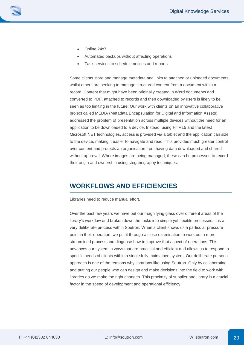- Online 24x7
- Automated backups without affecting operations
- Task services to schedule notices and reports

Some clients store and manage metadata and links to attached or uploaded documents, whilst others are seeking to manage structured content from a document within a record. Content that might have been originally created in Word documents and converted to PDF, attached to records and then downloaded by users is likely to be seen as too limiting in the future. Our work with clients on an innovative collaborative project called MEDIA (Metadata Encapsulation for Digital and Information Assets) addressed the problem of presentation across multiple devices without the need for an application to be downloaded to a device. Instead, using HTML5 and the latest Microsoft.NET technologies, access is provided via a tablet and the application can size to the device, making it easier to navigate and read. This provides much greater control over content and protects an organisation from having data downloaded and shared without approval. Where images are being managed, these can be processed to record their origin and ownership using steganography techniques.

## **WORKFLOWS AND EFFICIENCIES**

Libraries need to reduce manual effort.

Over the past few years we have put our magnifying glass over different areas of the library's workflow and broken down the tasks into simple yet flexible processes. It is a very deliberate process within Soutron. When a client shows us a particular pressure point in their operation, we put it through a close examination to work out a more streamlined process and diagnose how to improve that aspect of operations. This advances our system in ways that are practical and efficient and allows us to respond to specific needs of clients within a single fully maintained system. Our deliberate personal approach is one of the reasons why librarians like using Soutron. Only by collaborating and putting our people who can design and make decisions into the field to work with libraries do we make the right changes. This proximity of supplier and library is a crucial factor in the speed of development and operational efficiency.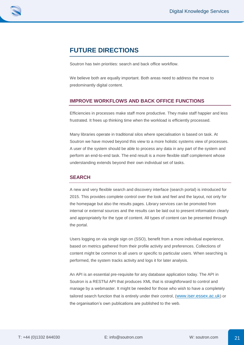# **FUTURE DIRECTIONS**

Soutron has twin priorities: search and back office workflow.

We believe both are equally important. Both areas need to address the move to predominantly digital content.

#### **IMPROVE WORKFLOWS AND BACK OFFICE FUNCTIONS**

Efficiencies in processes make staff more productive. They make staff happier and less frustrated. It frees up thinking time when the workload is efficiently processed.

Many libraries operate in traditional silos where specialisation is based on task. At Soutron we have moved beyond this view to a more holistic systems view of processes. A user of the system should be able to process any data in any part of the system and perform an end-to-end task. The end result is a more flexible staff complement whose understanding extends beyond their own individual set of tasks.

#### **SEARCH**

A new and very flexible search and discovery interface (search portal) is introduced for 2015. This provides complete control over the look and feel and the layout, not only for the homepage but also the results pages. Library services can be promoted from internal or external sources and the results can be laid out to present information clearly and appropriately for the type of content. All types of content can be presented through the portal.

Users logging on via single sign on (SSO), benefit from a more individual experience, based on metrics gathered from their profile activity and preferences. Collections of content might be common to all users or specific to particular users. When searching is performed, the system tracks activity and logs it for later analysis.

An API is an essential pre-requisite for any database application today. The API in Soutron is a RESTful API that produces XML that is straightforward to control and manage by a webmaster. It might be needed for those who wish to have a completely tailored search function that is entirely under their control, ([www.iser.essex.ac.uk](http://www.iser.essex.ac.uk/)) or the organisation's own publications are published to the web.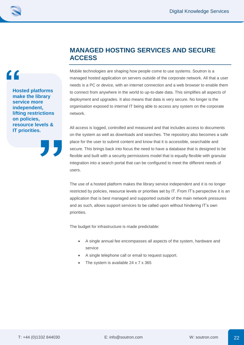**Hosted platforms make the library service more independent, lifting restrictions on policies, resource levels & IT priorities.**

 $\mathcal{L}$ 

## **MANAGED HOSTING SERVICES AND SECURE ACCESS**

Mobile technologies are shaping how people come to use systems. Soutron is a managed hosted application on servers outside of the corporate network. All that a user needs is a PC or device, with an internet connection and a web browser to enable them to connect from anywhere in the world to up-to-date data. This simplifies all aspects of deployment and upgrades. It also means that data is very secure. No longer is the organisation exposed to internal IT being able to access any system on the corporate network.

All access is logged, controlled and measured and that includes access to documents on the system as well as downloads and searches. The repository also becomes a safe place for the user to submit content and know that it is accessible, searchable and secure. This brings back into focus the need to have a database that is designed to be flexible and built with a security permissions model that is equally flexible with granular integration into a search portal that can be configured to meet the different needs of users.

The use of a hosted platform makes the library service independent and it is no longer restricted by policies, resource levels or priorities set by IT. From IT's perspective it is an application that is best managed and supported outside of the main network pressures and as such, allows support services to be called upon without hindering IT's own priorities.

The budget for infrastructure is made predictable:

- A single annual fee encompasses all aspects of the system, hardware and service
- A single telephone call or email to request support.
- The system is available 24 x 7 x 365